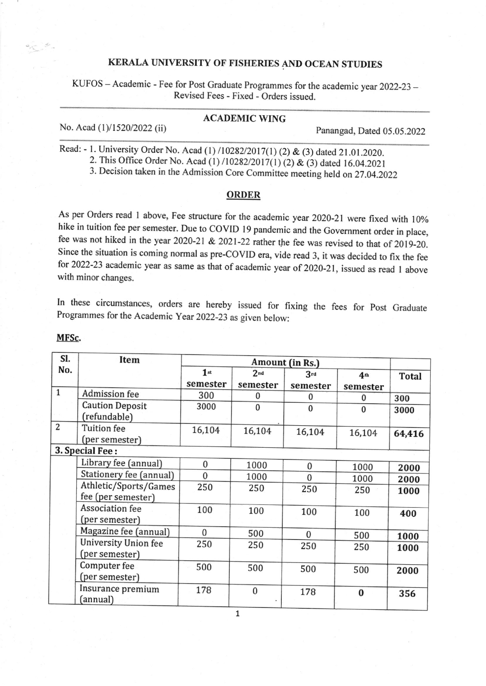# KERALA UNIVERSITY OF FISHERIES AND OCEAN STUDIES

KUFOS - Academic - Fee for Post Graduate Programmes for the academic year 2022-23 -Revised Fees - Fixed - Orders issued.

#### ACADEMIC WING

No. Acad (1)/1520/2022 (ii) Panangad, Dated 05.05.2022

Read: - 1. University Order No. Acad (1) /10282/2017(1) (2) & (3) dated 21.01.2020.

2. This Office Order No. Acad (1) /10282/2017(1) (2) & (3) dated 16.04.2021

3. Decision taken in the Admission Core Committee meeting held on27.04.2022

#### ORDER

As per Orders read 1 above, Fee structure for the academic year 2020-21 were fixed with 10% hike in tuition fee per semester. Due to COVID 19 pandemic and the Government order in place, fee was not hiked in the year 2020-21 & 2021-22 rather the fee was revised to that of 2019-20. Since the situation is coming normal as pre-COVID era, vide read 3, it was decided to fix the fee for 2022-23 academic year as same as that of academic year of 2020-21, issued as read 1 above with minor changes.

In these circumstances, orders are hereby issued for fixing the fees for post Graduate Programmes for the Academic year 2022-23 as given below:

| SI.            | Item                                        | Amount (in Rs.) |                 |              |                 |              |
|----------------|---------------------------------------------|-----------------|-----------------|--------------|-----------------|--------------|
| No.            |                                             | 1 <sub>st</sub> | 2 <sub>nd</sub> | 3rd          | 4 <sub>th</sub> | <b>Total</b> |
|                |                                             | semester        | semester        | semester     | semester        |              |
| $\mathbf{1}$   | Admission fee                               | 300             | $\mathbf{0}$    | $\Omega$     | <sup>0</sup>    | 300          |
|                | <b>Caution Deposit</b><br>(refundable)      | 3000            | $\Omega$        | $\mathbf{0}$ | $\Omega$        | 3000         |
| $\overline{2}$ | <b>Tuition fee</b><br>(per semester)        | 16,104          | 16,104          | 16,104       | 16,104          | 64,416       |
|                | 3. Special Fee:                             |                 |                 |              |                 |              |
|                | Library fee (annual)                        | $\bf{0}$        | 1000            | 0            | 1000            | 2000         |
|                | Stationery fee (annual)                     | $\bf{0}$        | 1000            | $\mathbf{0}$ | 1000            | 2000         |
|                | Athletic/Sports/Games<br>fee (per semester) | 250             | 250             | 250          | 250             | 1000         |
|                | Association fee<br>(per semester)           | 100             | 100             | 100          | 100             | 400          |
|                | Magazine fee (annual)                       | $\Omega$        | 500             | $\Omega$     | 500             | 1000         |
|                | University Union fee<br>(per semester)      | 250             | 250             | 250          | 250             | 1000         |
|                | Computer fee<br>(per semester)              | 500             | 500             | 500          | 500             | 2000         |
|                | Insurance premium<br>annual)                | 178             | $\mathbf{0}$    | 178          | $\bf{0}$        | 356          |

#### MFSc,

7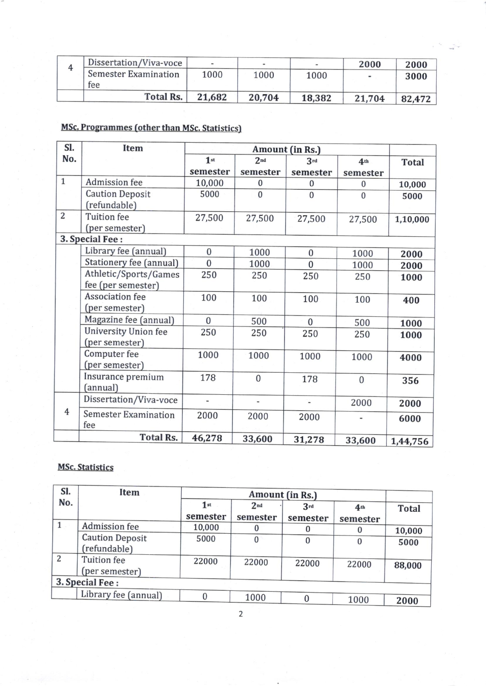| Dissertation/Viva-voce      |        |        |        | 2000   | 2000   |
|-----------------------------|--------|--------|--------|--------|--------|
| <b>Semester Examination</b> | 1000   | 1000   | 1000   |        | 3000   |
| fee                         |        |        |        |        |        |
| <b>Total Rs.</b>            | 21,682 | 20,704 | 18,382 | 21,704 | 82,472 |

# MSc. Programmes (other than MSc. Statistics)

| SI.            | <b>Item</b>                 | Amount (in Rs.) |                 |                |                 |              |
|----------------|-----------------------------|-----------------|-----------------|----------------|-----------------|--------------|
| No.            |                             | 1 <sup>st</sup> | 2 <sub>nd</sub> | 3rd            | 4 <sup>th</sup> | <b>Total</b> |
|                |                             | semester        | semester        | semester       | semester        |              |
| $\mathbf{1}$   | Admission fee               | 10,000          | $\bf{0}$        | $\bf{0}$       | $\bf{0}$        | 10,000       |
|                | <b>Caution Deposit</b>      | 5000            | $\mathbf{0}$    | $\mathbf{0}$   | $\overline{0}$  | 5000         |
|                | (refundable)                |                 |                 |                |                 |              |
| $\overline{2}$ | <b>Tuition</b> fee          | 27,500          | 27,500          | 27,500         | 27,500          | 1,10,000     |
|                | (per semester)              |                 |                 |                |                 |              |
|                | 3. Special Fee:             |                 |                 |                |                 |              |
|                | Library fee (annual)        | $\overline{0}$  | 1000            | $\bf{0}$       | 1000            | 2000         |
|                | Stationery fee (annual)     | $\overline{0}$  | 1000            | $\overline{0}$ | 1000            | 2000         |
|                | Athletic/Sports/Games       | 250             | 250             | 250            | 250             | 1000         |
|                | fee (per semester)          |                 |                 |                |                 |              |
|                | <b>Association fee</b>      | 100             | 100             | 100            | 100             | 400          |
|                | (per semester)              |                 |                 |                |                 |              |
|                | Magazine fee (annual)       | $\overline{0}$  | 500             | $\mathbf{0}$   | 500             | 1000         |
|                | University Union fee        | 250             | 250             | 250            | 250             | 1000         |
|                | (per semester)              |                 |                 |                |                 |              |
|                | Computer fee                | 1000            | 1000            | 1000           | 1000            | 4000         |
|                | (per semester)              |                 |                 |                |                 |              |
|                | Insurance premium           | 178             | $\mathbf{0}$    | 178            | $\mathbf{0}$    | 356          |
|                | (annual)                    |                 |                 |                |                 |              |
|                | Dissertation/Viva-voce      | $\blacksquare$  | ÷,              | ÷              | 2000            | 2000         |
| $\overline{4}$ | <b>Semester Examination</b> | 2000            | 2000            | 2000           |                 | 6000         |
|                | fee                         |                 |                 |                |                 |              |
|                | <b>Total Rs.</b>            | 46,278          | 33,600          | 31,278         | 33,600          | 1,44,756     |

## **MSc. Statistics**

| Sl.          | <b>Item</b>                            |                 |                             |                 |                             |              |
|--------------|----------------------------------------|-----------------|-----------------------------|-----------------|-----------------------------|--------------|
| No.          |                                        | 1st<br>semester | 2 <sub>nd</sub><br>semester | 3rd<br>semester | 4 <sub>th</sub><br>semester | <b>Total</b> |
| $\mathbf{1}$ | Admission fee                          | 10,000          |                             |                 | $\Omega$                    | 10,000       |
|              | <b>Caution Deposit</b><br>(refundable) | 5000            | 0                           | 0               | $\bf{0}$                    | 5000         |
| 2            | <b>Tuition</b> fee<br>(per semester)   | 22000           | 22000                       | 22000           | 22000                       | 88,000       |
|              | 3. Special Fee:                        |                 |                             |                 |                             |              |
|              | Library fee (annual)                   |                 | 1000                        |                 | 1000                        | 2000         |